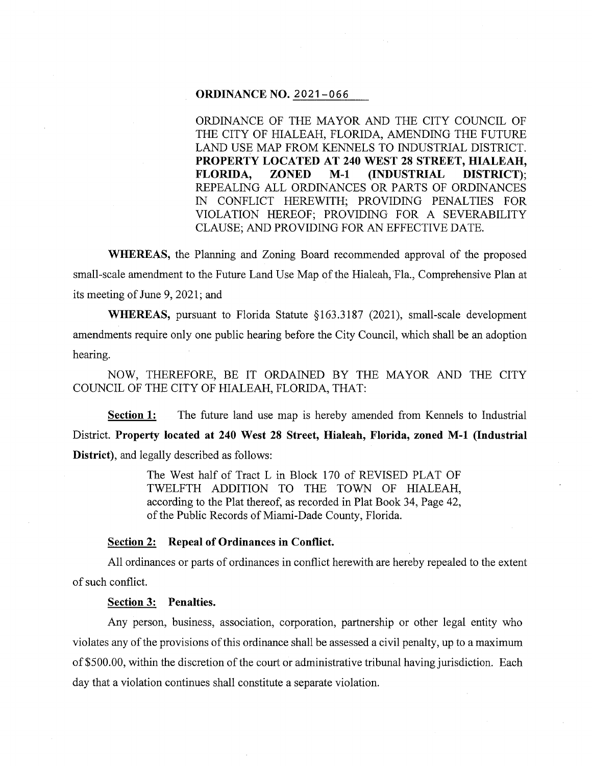## **ORDINANCE NO.** 2021-066

ORDINANCE OF THE MAYOR AND THE CITY COUNCIL OF THE CITY OF HIALEAH, FLORIDA, AMENDING THE FUTURE LAND USE MAP FROM KENNELS TO INDUSTRIAL DISTRICT. **PROPERTY LOCATED AT 240 WEST 28 STREET, HIALEAH, FLORIDA, ZONED M-1 (INDUSTRIAL DISTRICT);**  REPEALING ALL ORDINANCES OR PARTS OF ORDINANCES IN CONFLICT HEREWITH; PROVIDING PENALTIES FOR VIOLATION HEREOF; PROVIDING FOR A SEVERABILITY CLAUSE; AND PROVIDING FOR AN EFFECTIVE DATE.

**WHEREAS,** the Planning and Zoning Board recommended approval of the proposed small-scale amendment to the Future Land Use Map of the Hialeah, Fla., Comprehensive Plan at its meeting of June 9, 2021; and

**WHEREAS,** pursuant to Florida Statute §163.3187 (2021), small-scale development amendments require only one public hearing before the City Council, which shall be an adoption hearing.

NOW, THEREFORE, BE IT ORDAINED BY THE MAYOR AND THE CITY COUNCIL OF THE CITY OF HIALEAH, FLORIDA, THAT:

**Section 1:** The future land use map is hereby amended from Kennels to Industrial District. **Property located at 240 West 28 Street, Hialeah, Florida, zoned M-1 (Industrial District),** and legally described as follows:

> The West half of Tract L in Block 170 of REVISED PLAT OF TWELFTH ADDITION TO THE TOWN OF HIALEAH, according to the Plat thereof, as recorded in Plat Book 34, Page 42, of the Public Records of Miami-Dade County, Florida.

## **Section 2: Repeal of Ordinances in Conflict.**

All ordinances or parts of ordinances in conflict herewith are hereby repealed to the extent of such conflict.

## **Section 3: Penalties.**

Any person, business, association, corporation, partnership or other legal entity who violates any of the provisions of this ordinance shall be assessed a civil penalty, up to a maximum of \$500.00, within the discretion of the court or administrative tribunal having jurisdiction. Each day that a violation continues shall constitute a separate violation.